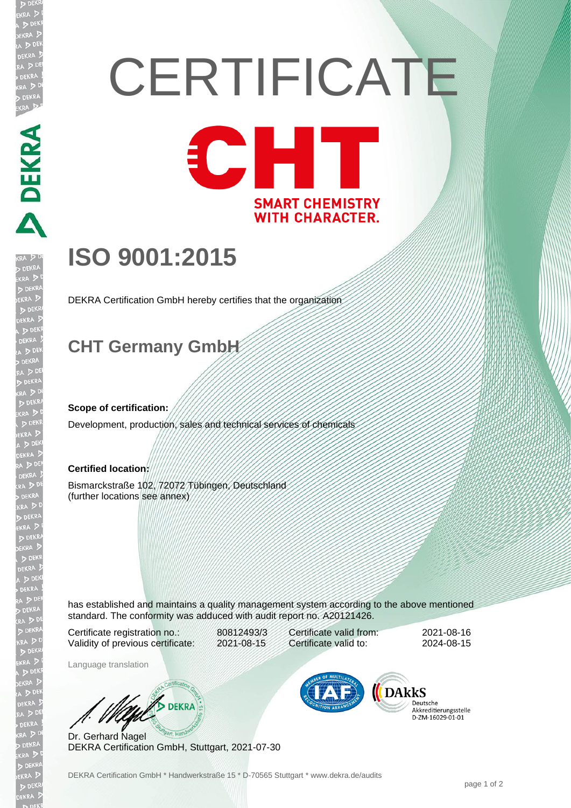# **CERTIFICATE** CHT **SMART CHEMISTRY WITH CHARACTER.**

# **ISO 9001:2015**

DEKRA Certification GmbH hereby certifies that the organization

## **CHT Germany GmbH**

#### **Scope of certification:**

**DEVELOPMENT** 

Development, production, sales and technical services of chemicals

#### **Certified location:**

Bismarckstraße 102, 72072 Tübingen, Deutschland (further locations see annex)

has established and maintains a quality management system according to the above mentioned standard. The conformity was adduced with audit report no. A20121426.

Certificate registration no.: 80812493/3 Validity of previous certificate: 2021-08-15

Certificate valid from: 2021-08-16 Certificate valid to: 2024-08-15

Language translation

**BULL** DEKRA

Dr. Gerhard Nagel DEKRA Certification GmbH, Stuttgart, 2021-07-30



Deutsche Akkreditierungsstelle